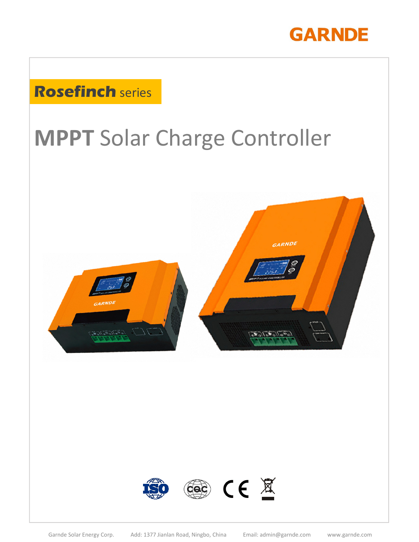

## **Rosefinch** series

# **MPPT** Solar Charge Controller



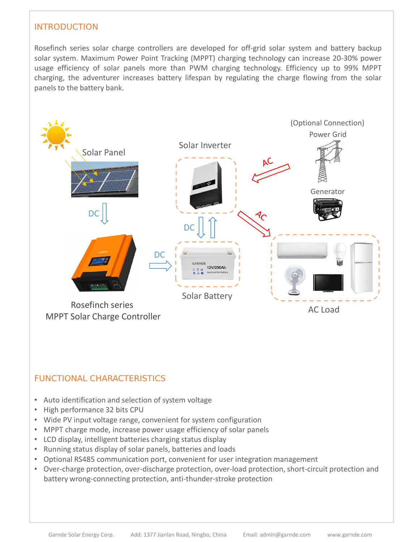#### INTRODUCTION

Rosefinch series solar charge controllers are developed for off-grid solar system and battery backup solar system. Maximum Power Point Tracking (MPPT) charging technology can increase 20-30% power usage efficiency of solar panels more than PWM charging technology. Efficiency up to 99% MPPT charging, the adventurer increases battery lifespan by regulating the charge flowing from the solar panels to the battery bank.



- MPPT charge mode, increase power usage efficiency of solar panels
- LCD display, intelligent batteries charging status display
- Running status display of solar panels, batteries and loads
- Optional RS485 communication port, convenient for user integration management
- Over-charge protection, over-discharge protection, over-load protection, short-circuit protection and battery wrong-connecting protection, anti-thunder-stroke protection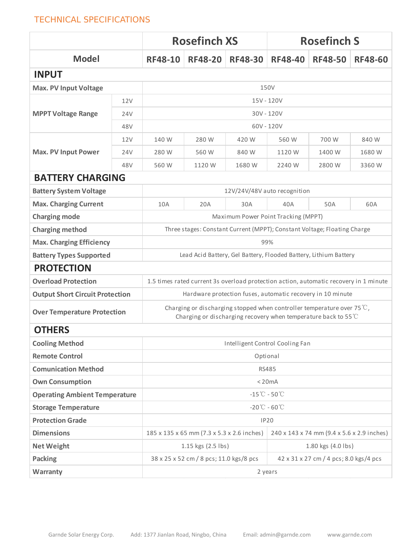#### TECHNICAL SPECIFICATIONS

|                                        |     | <b>Rosefinch XS</b>                                                                                                                                |                | <b>Rosefinch S</b> |                |                |                |  |
|----------------------------------------|-----|----------------------------------------------------------------------------------------------------------------------------------------------------|----------------|--------------------|----------------|----------------|----------------|--|
| <b>Model</b>                           |     | <b>RF48-10</b>                                                                                                                                     | <b>RF48-20</b> | <b>RF48-30</b>     | <b>RF48-40</b> | <b>RF48-50</b> | <b>RF48-60</b> |  |
| <b>INPUT</b>                           |     |                                                                                                                                                    |                |                    |                |                |                |  |
| <b>Max. PV Input Voltage</b>           |     | 150V                                                                                                                                               |                |                    |                |                |                |  |
|                                        | 12V | 15V - 120V                                                                                                                                         |                |                    |                |                |                |  |
| <b>MPPT Voltage Range</b>              | 24V | 30V - 120V                                                                                                                                         |                |                    |                |                |                |  |
|                                        | 48V | $60V - 120V$                                                                                                                                       |                |                    |                |                |                |  |
|                                        | 12V | 140 W                                                                                                                                              | 280 W          | 420 W              | 560 W          | 700 W          | 840 W          |  |
| <b>Max. PV Input Power</b>             | 24V | 280 W                                                                                                                                              | 560 W          | 840 W              | 1120 W         | 1400 W         | 1680 W         |  |
|                                        | 48V | 560 W                                                                                                                                              | 1120 W         | 1680 W             | 2240 W         | 2800 W         | 3360 W         |  |
| <b>BATTERY CHARGING</b>                |     |                                                                                                                                                    |                |                    |                |                |                |  |
| <b>Battery System Voltage</b>          |     | 12V/24V/48V auto recognition                                                                                                                       |                |                    |                |                |                |  |
| <b>Max. Charging Current</b>           |     | 10A                                                                                                                                                | 20A            | 30A                | 40A            | 50A            | 60A            |  |
| <b>Charging mode</b>                   |     | Maximum Power Point Tracking (MPPT)                                                                                                                |                |                    |                |                |                |  |
| <b>Charging method</b>                 |     | Three stages: Constant Current (MPPT); Constant Voltage; Floating Charge                                                                           |                |                    |                |                |                |  |
| <b>Max. Charging Efficiency</b>        |     | 99%                                                                                                                                                |                |                    |                |                |                |  |
| <b>Battery Types Supported</b>         |     | Lead Acid Battery, Gel Battery, Flooded Battery, Lithium Battery                                                                                   |                |                    |                |                |                |  |
| <b>PROTECTION</b>                      |     |                                                                                                                                                    |                |                    |                |                |                |  |
| <b>Overload Protection</b>             |     | 1.5 times rated current 3s overload protection action, automatic recovery in 1 minute                                                              |                |                    |                |                |                |  |
| <b>Output Short Circuit Protection</b> |     | Hardware protection fuses, automatic recovery in 10 minute                                                                                         |                |                    |                |                |                |  |
| <b>Over Temperature Protection</b>     |     | Charging or discharging stopped when controller temperature over 75 $\degree$ C,<br>Charging or discharging recovery when temperature back to 55°C |                |                    |                |                |                |  |
| <b>OTHERS</b>                          |     |                                                                                                                                                    |                |                    |                |                |                |  |
| <b>Cooling Method</b>                  |     | Intelligent Control Cooling Fan                                                                                                                    |                |                    |                |                |                |  |
| <b>Remote Control</b>                  |     | Optional                                                                                                                                           |                |                    |                |                |                |  |
| <b>Comunication Method</b>             |     | <b>RS485</b>                                                                                                                                       |                |                    |                |                |                |  |
| <b>Own Consumption</b>                 |     | < 20mA                                                                                                                                             |                |                    |                |                |                |  |
| <b>Operating Ambient Temperature</b>   |     | $-15^{\circ}\text{C} - 50^{\circ}\text{C}$                                                                                                         |                |                    |                |                |                |  |
| <b>Storage Temperature</b>             |     | $-20^{\circ}\text{C} - 60^{\circ}\text{C}$                                                                                                         |                |                    |                |                |                |  |
| <b>Protection Grade</b>                |     | <b>IP20</b>                                                                                                                                        |                |                    |                |                |                |  |
| <b>Dimensions</b>                      |     | 240 x 143 x 74 mm (9.4 x 5.6 x 2.9 inches)<br>185 x 135 x 65 mm (7.3 x 5.3 x 2.6 inches)                                                           |                |                    |                |                |                |  |
| <b>Net Weight</b>                      |     | 1.15 kgs (2.5 lbs)<br>1.80 kgs (4.0 lbs)                                                                                                           |                |                    |                |                |                |  |
| Packing                                |     | 38 x 25 x 52 cm / 8 pcs; 11.0 kgs/8 pcs<br>42 x 31 x 27 cm / 4 pcs; 8.0 kgs/4 pcs                                                                  |                |                    |                |                |                |  |
| Warranty                               |     | 2 years                                                                                                                                            |                |                    |                |                |                |  |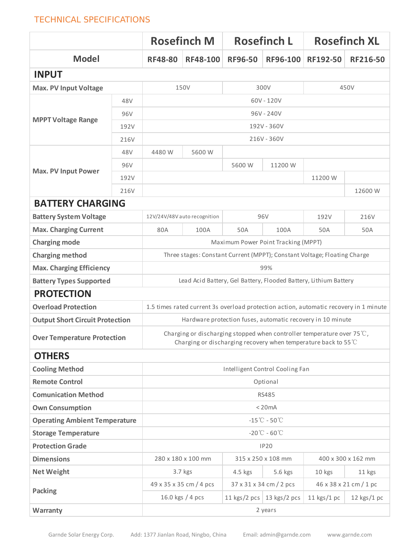#### TECHNICAL SPECIFICATIONS

|                                        |                                     | <b>Rosefinch M</b>                                                                                                                                 |                         | <b>Rosefinch L</b>      |                             | <b>Rosefinch XL</b>    |               |  |
|----------------------------------------|-------------------------------------|----------------------------------------------------------------------------------------------------------------------------------------------------|-------------------------|-------------------------|-----------------------------|------------------------|---------------|--|
| <b>Model</b>                           |                                     | <b>RF48-80</b>                                                                                                                                     | RF48-100                | <b>RF96-50</b>          | RF96-100                    | RF192-50               | RF216-50      |  |
| <b>INPUT</b>                           |                                     |                                                                                                                                                    |                         |                         |                             |                        |               |  |
| <b>Max. PV Input Voltage</b>           |                                     | 150V                                                                                                                                               |                         | 300V                    |                             | 450V                   |               |  |
|                                        | 48V                                 | 60V - 120V                                                                                                                                         |                         |                         |                             |                        |               |  |
|                                        | 96V                                 | 96V - 240V                                                                                                                                         |                         |                         |                             |                        |               |  |
| <b>MPPT Voltage Range</b>              | 192V                                | 192V - 360V                                                                                                                                        |                         |                         |                             |                        |               |  |
|                                        | 216V                                | 216V - 360V                                                                                                                                        |                         |                         |                             |                        |               |  |
|                                        | 48V                                 | 4480 W                                                                                                                                             | 5600 W                  |                         |                             |                        |               |  |
|                                        | 96V                                 |                                                                                                                                                    |                         | 5600 W                  | 11200 W                     |                        |               |  |
| <b>Max. PV Input Power</b>             | 192V                                |                                                                                                                                                    |                         |                         |                             | 11200W                 |               |  |
|                                        | 216V                                |                                                                                                                                                    |                         |                         | 12600W                      |                        |               |  |
| <b>BATTERY CHARGING</b>                |                                     |                                                                                                                                                    |                         |                         |                             |                        |               |  |
| <b>Battery System Voltage</b>          |                                     | 96V<br>12V/24V/48V auto recognition                                                                                                                |                         |                         | 192V                        | 216V                   |               |  |
| <b>Max. Charging Current</b>           |                                     | 80A                                                                                                                                                | 100A                    | 50A                     | 100A                        | 50A                    | 50A           |  |
| <b>Charging mode</b>                   | Maximum Power Point Tracking (MPPT) |                                                                                                                                                    |                         |                         |                             |                        |               |  |
| <b>Charging method</b>                 |                                     | Three stages: Constant Current (MPPT); Constant Voltage; Floating Charge                                                                           |                         |                         |                             |                        |               |  |
| <b>Max. Charging Efficiency</b>        |                                     | 99%                                                                                                                                                |                         |                         |                             |                        |               |  |
| <b>Battery Types Supported</b>         |                                     | Lead Acid Battery, Gel Battery, Flooded Battery, Lithium Battery                                                                                   |                         |                         |                             |                        |               |  |
| <b>PROTECTION</b>                      |                                     |                                                                                                                                                    |                         |                         |                             |                        |               |  |
| <b>Overload Protection</b>             |                                     | 1.5 times rated current 3s overload protection action, automatic recovery in 1 minute                                                              |                         |                         |                             |                        |               |  |
| <b>Output Short Circuit Protection</b> |                                     | Hardware protection fuses, automatic recovery in 10 minute                                                                                         |                         |                         |                             |                        |               |  |
| <b>Over Temperature Protection</b>     |                                     | Charging or discharging stopped when controller temperature over 75 $\degree$ C,<br>Charging or discharging recovery when temperature back to 55°C |                         |                         |                             |                        |               |  |
| <b>OTHERS</b>                          |                                     |                                                                                                                                                    |                         |                         |                             |                        |               |  |
| <b>Cooling Method</b>                  |                                     | Intelligent Control Cooling Fan                                                                                                                    |                         |                         |                             |                        |               |  |
| <b>Remote Control</b>                  |                                     | Optional                                                                                                                                           |                         |                         |                             |                        |               |  |
| <b>Comunication Method</b>             |                                     | <b>RS485</b>                                                                                                                                       |                         |                         |                             |                        |               |  |
| <b>Own Consumption</b>                 |                                     | < 20mA                                                                                                                                             |                         |                         |                             |                        |               |  |
| <b>Operating Ambient Temperature</b>   |                                     | $-15^{\circ}\text{C} - 50^{\circ}\text{C}$                                                                                                         |                         |                         |                             |                        |               |  |
| <b>Storage Temperature</b>             |                                     | $-20^{\circ}\text{C} - 60^{\circ}\text{C}$                                                                                                         |                         |                         |                             |                        |               |  |
| <b>Protection Grade</b>                |                                     | <b>IP20</b>                                                                                                                                        |                         |                         |                             |                        |               |  |
| <b>Dimensions</b>                      |                                     | 280 x 180 x 100 mm<br>315 x 250 x 108 mm                                                                                                           |                         |                         | 400 x 300 x 162 mm          |                        |               |  |
| <b>Net Weight</b>                      |                                     |                                                                                                                                                    | 3.7 kgs                 | 4.5 kgs                 | 5.6 kgs                     | 10 kgs                 | 11 kgs        |  |
| <b>Packing</b>                         |                                     |                                                                                                                                                    | 49 x 35 x 35 cm / 4 pcs | 37 x 31 x 34 cm / 2 pcs |                             | 46 x 38 x 21 cm / 1 pc |               |  |
|                                        |                                     |                                                                                                                                                    | 16.0 kgs $/4$ pcs       |                         | 11 kgs/2 pcs   13 kgs/2 pcs | 11 $kgs/1 pc$          | $12$ kgs/1 pc |  |
| Warranty                               |                                     | 2 years                                                                                                                                            |                         |                         |                             |                        |               |  |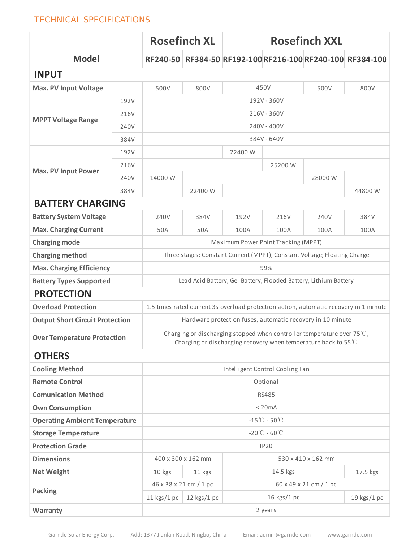#### TECHNICAL SPECIFICATIONS

|                                        |      | <b>Rosefinch XL</b>                                                                                                                                          |               | <b>Rosefinch XXL</b> |             |      |                                                           |  |
|----------------------------------------|------|--------------------------------------------------------------------------------------------------------------------------------------------------------------|---------------|----------------------|-------------|------|-----------------------------------------------------------|--|
| <b>Model</b>                           |      |                                                                                                                                                              |               |                      |             |      | RF240-50 RF384-50 RF192-100 RF216-100 RF240-100 RF384-100 |  |
| <b>INPUT</b>                           |      |                                                                                                                                                              |               |                      |             |      |                                                           |  |
| <b>Max. PV Input Voltage</b>           |      | 500V                                                                                                                                                         | 800V          |                      | 450V        | 500V | 800V                                                      |  |
| <b>MPPT Voltage Range</b>              | 192V | 192V - 360V                                                                                                                                                  |               |                      |             |      |                                                           |  |
|                                        | 216V | 216V - 360V                                                                                                                                                  |               |                      |             |      |                                                           |  |
|                                        | 240V | 240V - 400V                                                                                                                                                  |               |                      |             |      |                                                           |  |
|                                        | 384V | 384V - 640V                                                                                                                                                  |               |                      |             |      |                                                           |  |
|                                        | 192V | 22400 W                                                                                                                                                      |               |                      |             |      |                                                           |  |
|                                        | 216V |                                                                                                                                                              | 25200W        |                      |             |      |                                                           |  |
| <b>Max. PV Input Power</b>             | 240V | 14000W                                                                                                                                                       |               | 28000W               |             |      |                                                           |  |
|                                        | 384V |                                                                                                                                                              | 22400 W       |                      |             |      | 44800W                                                    |  |
| <b>BATTERY CHARGING</b>                |      |                                                                                                                                                              |               |                      |             |      |                                                           |  |
| <b>Battery System Voltage</b>          |      | 240V                                                                                                                                                         | 384V          | 192V                 | 216V        | 240V | 384V                                                      |  |
| <b>Max. Charging Current</b>           |      | 50A                                                                                                                                                          | 50A           | 100A                 | 100A        | 100A | 100A                                                      |  |
| <b>Charging mode</b>                   |      | Maximum Power Point Tracking (MPPT)                                                                                                                          |               |                      |             |      |                                                           |  |
| <b>Charging method</b>                 |      | Three stages: Constant Current (MPPT); Constant Voltage; Floating Charge                                                                                     |               |                      |             |      |                                                           |  |
| <b>Max. Charging Efficiency</b>        |      | 99%                                                                                                                                                          |               |                      |             |      |                                                           |  |
| <b>Battery Types Supported</b>         |      | Lead Acid Battery, Gel Battery, Flooded Battery, Lithium Battery                                                                                             |               |                      |             |      |                                                           |  |
| <b>PROTECTION</b>                      |      |                                                                                                                                                              |               |                      |             |      |                                                           |  |
| <b>Overload Protection</b>             |      | 1.5 times rated current 3s overload protection action, automatic recovery in 1 minute                                                                        |               |                      |             |      |                                                           |  |
| <b>Output Short Circuit Protection</b> |      | Hardware protection fuses, automatic recovery in 10 minute                                                                                                   |               |                      |             |      |                                                           |  |
| <b>Over Temperature Protection</b>     |      | Charging or discharging stopped when controller temperature over 75 $\degree$ C,<br>Charging or discharging recovery when temperature back to 55 $\degree$ C |               |                      |             |      |                                                           |  |
| <b>OTHERS</b>                          |      |                                                                                                                                                              |               |                      |             |      |                                                           |  |
| <b>Cooling Method</b>                  |      | Intelligent Control Cooling Fan                                                                                                                              |               |                      |             |      |                                                           |  |
| <b>Remote Control</b>                  |      | Optional                                                                                                                                                     |               |                      |             |      |                                                           |  |
| <b>Comunication Method</b>             |      | <b>RS485</b>                                                                                                                                                 |               |                      |             |      |                                                           |  |
| <b>Own Consumption</b>                 |      | < 20mA                                                                                                                                                       |               |                      |             |      |                                                           |  |
| <b>Operating Ambient Temperature</b>   |      | $-15^{\circ}\text{C} - 50^{\circ}\text{C}$                                                                                                                   |               |                      |             |      |                                                           |  |
| <b>Storage Temperature</b>             |      | $-20^{\circ}\text{C} - 60^{\circ}\text{C}$                                                                                                                   |               |                      |             |      |                                                           |  |
| <b>Protection Grade</b>                |      | <b>IP20</b>                                                                                                                                                  |               |                      |             |      |                                                           |  |
| <b>Dimensions</b>                      |      | 400 x 300 x 162 mm<br>530 x 410 x 162 mm                                                                                                                     |               |                      |             |      |                                                           |  |
| <b>Net Weight</b>                      |      | 14.5 kgs<br>10 kgs<br>11 kgs                                                                                                                                 |               |                      | 17.5 kgs    |      |                                                           |  |
|                                        |      | 60 x 49 x 21 cm / 1 pc<br>46 x 38 x 21 cm / 1 pc                                                                                                             |               |                      |             |      |                                                           |  |
| <b>Packing</b>                         |      | 11 $kgs/1 pc$                                                                                                                                                | $12$ kgs/1 pc |                      | 16 kgs/1 pc |      | 19 kgs/1 pc                                               |  |
| Warranty                               |      | 2 years                                                                                                                                                      |               |                      |             |      |                                                           |  |